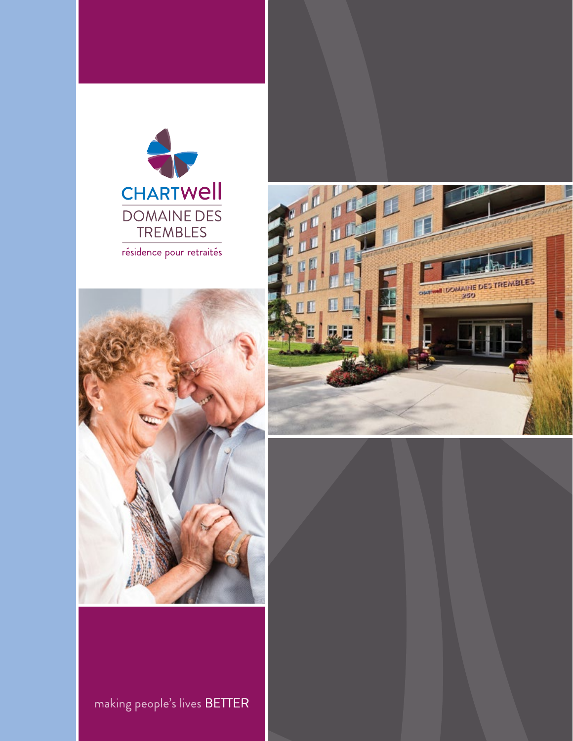





making people's lives BETTER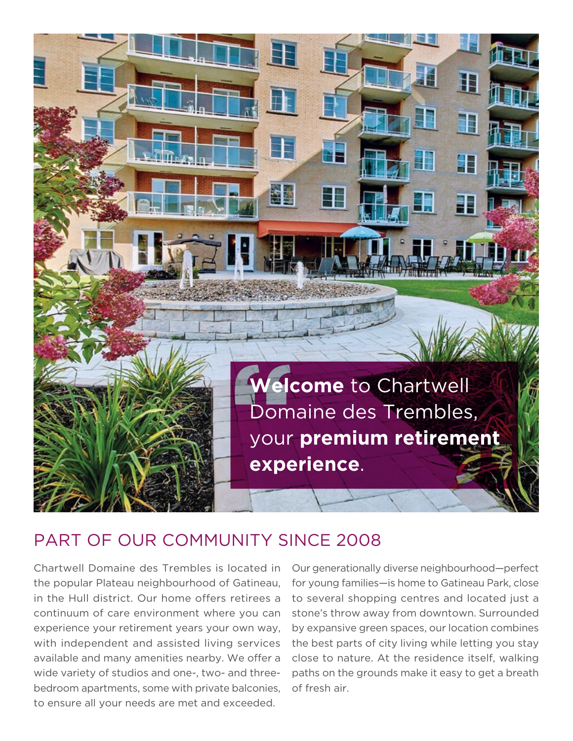

## PART OF OUR COMMUNITY SINCE 2008

Chartwell Domaine des Trembles is located in the popular Plateau neighbourhood of Gatineau, in the Hull district. Our home offers retirees a continuum of care environment where you can experience your retirement years your own way, with independent and assisted living services available and many amenities nearby. We offer a wide variety of studios and one-, two- and threebedroom apartments, some with private balconies, to ensure all your needs are met and exceeded.

Our generationally diverse neighbourhood—perfect for young families—is home to Gatineau Park, close to several shopping centres and located just a stone's throw away from downtown. Surrounded by expansive green spaces, our location combines the best parts of city living while letting you stay close to nature. At the residence itself, walking paths on the grounds make it easy to get a breath of fresh air.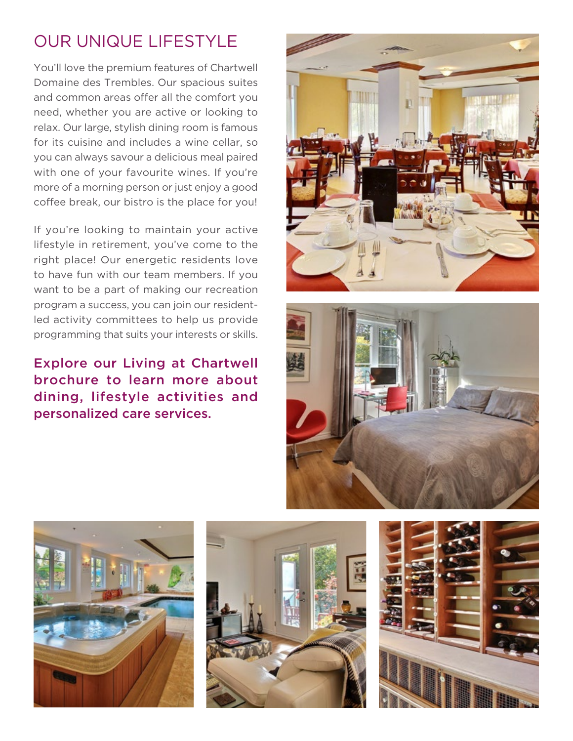## OUR UNIQUE LIFESTYLE

You'll love the premium features of Chartwell Domaine des Trembles. Our spacious suites and common areas offer all the comfort you need, whether you are active or looking to relax. Our large, stylish dining room is famous for its cuisine and includes a wine cellar, so you can always savour a delicious meal paired with one of your favourite wines. If you're more of a morning person or just enjoy a good coffee break, our bistro is the place for you!

If you're looking to maintain your active lifestyle in retirement, you've come to the right place! Our energetic residents love to have fun with our team members. If you want to be a part of making our recreation program a success, you can join our residentled activity committees to help us provide programming that suits your interests or skills.

Explore our Living at Chartwell brochure to learn more about dining, lifestyle activities and personalized care services.









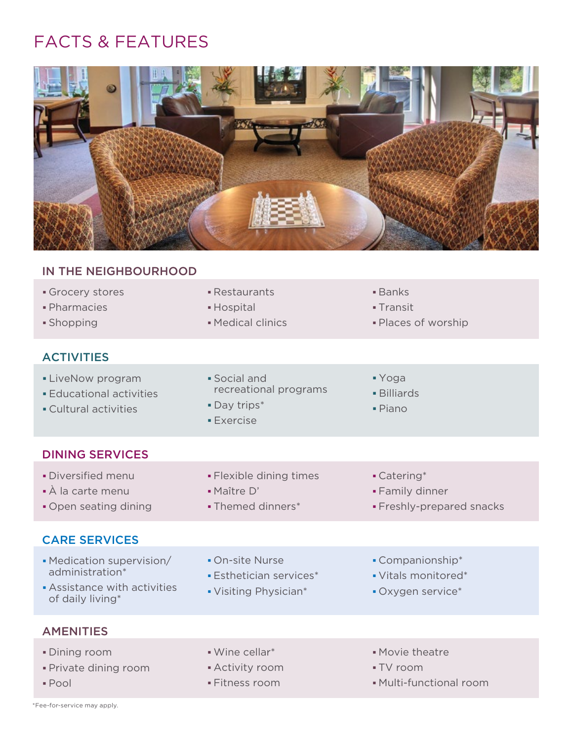## FACTS & FEATURES



| IN THE NEIGHBOURHOOD                                                                           |                                                                          |                                                              |
|------------------------------------------------------------------------------------------------|--------------------------------------------------------------------------|--------------------------------------------------------------|
| Grocery stores<br>· Pharmacies<br>· Shopping                                                   | • Restaurants<br>• Hospital<br>• Medical clinics                         | $\blacksquare$ Banks<br>- Transit<br>· Places of worship     |
| <b>ACTIVITIES</b>                                                                              |                                                                          |                                                              |
| • LiveNow program<br><b>Educational activities</b><br>• Cultural activities                    | · Social and<br>recreational programs<br>· Day trips*<br><b>Exercise</b> | • Yoga<br>· Billiards<br>$\blacksquare$ Piano                |
| <b>DINING SERVICES</b>                                                                         |                                                                          |                                                              |
| • Diversified menu<br>• À la carte menu<br>. Open seating dining                               | • Flexible dining times<br>· Maître D'<br>• Themed dinners*              | • Catering*<br>• Family dinner<br>· Freshly-prepared snacks  |
| <b>CARE SERVICES</b>                                                                           |                                                                          |                                                              |
| • Medication supervision/<br>administration*<br>Assistance with activities<br>of daily living* | • On-site Nurse<br><b>Esthetician services*</b><br>• Visiting Physician* | • Companionship*<br>• Vitals monitored*<br>• Oxygen service* |
| <b>AMENITIES</b>                                                                               |                                                                          |                                                              |
| <b>Dining room</b><br>· Private dining room<br>• Pool                                          | · Wine cellar*<br>- Activity room<br>• Fitness room                      | · Movie theatre<br>• TV room<br>• Multi-functional room      |